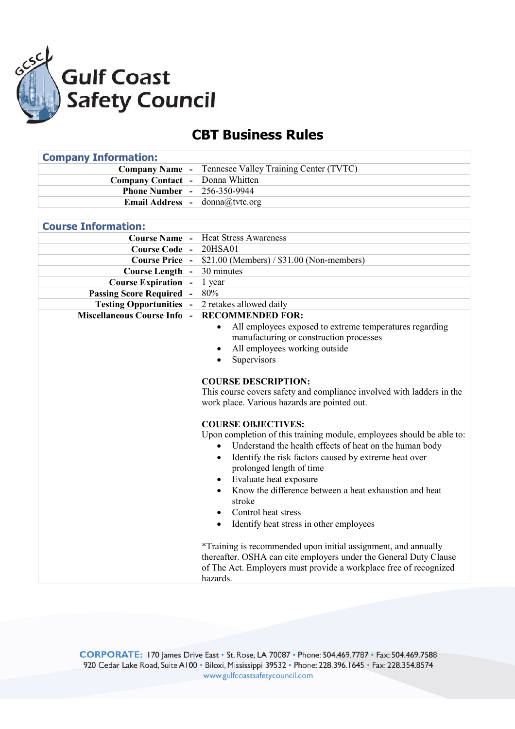

## **CBT Business Rules**

| <b>Company Information:</b>              |                                                                       |
|------------------------------------------|-----------------------------------------------------------------------|
| <b>Company Name -</b>                    | Tennesee Valley Training Center (TVTC)                                |
| <b>Company Contact</b><br>$\blacksquare$ | Donna Whitten                                                         |
| <b>Phone Number -</b>                    | 256-350-9944                                                          |
| <b>Email Address -</b>                   | donna@tvtc.org                                                        |
|                                          |                                                                       |
| <b>Course Information:</b>               |                                                                       |
| <b>Course Name</b> -                     | <b>Heat Stress Awareness</b>                                          |
| Course Code -                            | 20HSA01                                                               |
| <b>Course Price -</b>                    | \$21.00 (Members) / \$31.00 (Non-members)                             |
| <b>Course Length</b>                     | 30 minutes                                                            |
| <b>Course Expiration -</b>               | 1 year                                                                |
| <b>Passing Score Required -</b>          | $80\%$                                                                |
| <b>Testing Opportunities</b>             | 2 retakes allowed daily                                               |
| <b>Miscellaneous Course Info</b>         | <b>RECOMMENDED FOR:</b>                                               |
|                                          | All employees exposed to extreme temperatures regarding<br>$\bullet$  |
|                                          | manufacturing or construction processes                               |
|                                          | All employees working outside                                         |
|                                          | Supervisors<br>$\bullet$                                              |
|                                          |                                                                       |
|                                          | <b>COURSE DESCRIPTION:</b>                                            |
|                                          | This course covers safety and compliance involved with ladders in the |
|                                          | work place. Various hazards are pointed out.                          |
|                                          | <b>COURSE OBJECTIVES:</b>                                             |
|                                          | Upon completion of this training module, employees should be able to: |
|                                          | Understand the health effects of heat on the human body<br>$\bullet$  |
|                                          | Identify the risk factors caused by extreme heat over<br>$\bullet$    |
|                                          | prolonged length of time                                              |
|                                          | Evaluate heat exposure                                                |
|                                          | Know the difference between a heat exhaustion and heat                |
|                                          | stroke                                                                |
|                                          | Control heat stress                                                   |
|                                          | Identify heat stress in other employees<br>$\bullet$                  |
|                                          |                                                                       |
|                                          | *Training is recommended upon initial assignment, and annually        |
|                                          | thereafter. OSHA can cite employers under the General Duty Clause     |
|                                          | of The Act. Employers must provide a workplace free of recognized     |